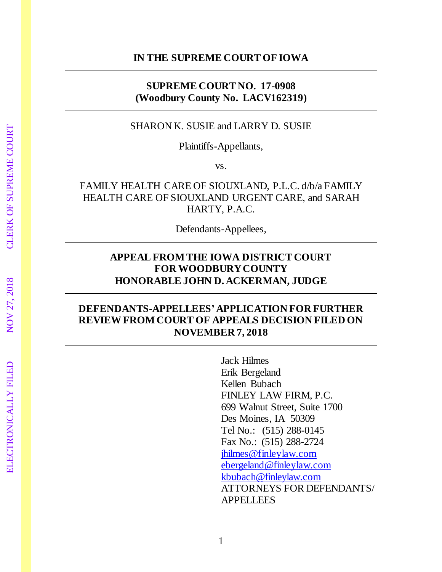#### **IN THE SUPREME COURT OF IOWA**

### **SUPREME COURT NO. 17-0908 (Woodbury County No. LACV162319)**

### SHARON K. SUSIE and LARRY D. SUSIE

Plaintiffs-Appellants,

vs.

## FAMILY HEALTH CARE OF SIOUXLAND, P.L.C. d/b/a FAMILY HEALTH CARE OF SIOUXLAND URGENT CARE, and SARAH HARTY, P.A.C.

Defendants-Appellees,

## **APPEAL FROM THE IOWA DISTRICT COURT FOR WOODBURYCOUNTY HONORABLE JOHN D. ACKERMAN, JUDGE**

# **DEFENDANTS-APPELLEES'APPLICATION FOR FURTHER REVIEWFROM COURT OF APPEALS DECISION FILED ON NOVEMBER 7, 2018**

Jack Hilmes Erik Bergeland Kellen Bubach FINLEY LAW FIRM, P.C. 699 Walnut Street, Suite 1700 Des Moines, IA 50309 Tel No.: (515) 288-0145 Fax No.: (515) 288-2724 [jhilmes@finleylaw.com](mailto:jhilmes@finleylaw.com) [ebergeland@finleylaw.com](mailto:ebergeland@finleylaw.com) [kbubach@finleylaw.com](mailto:kbubach@finleylaw.com) ATTORNEYS FOR DEFENDANTS/ APPELLEES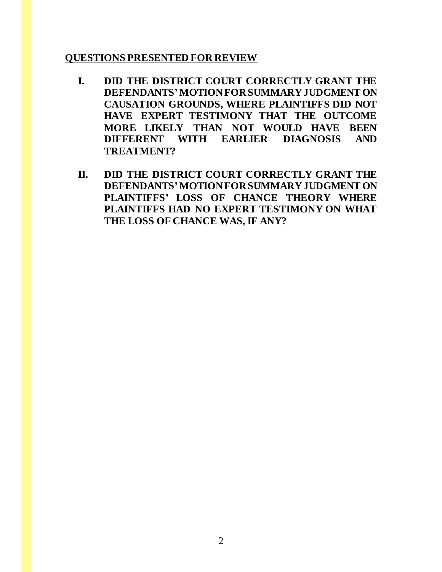### **QUESTIONS PRESENTED FOR REVIEW**

- **I. DID THE DISTRICT COURT CORRECTLY GRANT THE DEFENDANTS'MOTION FOR SUMMARY JUDGMENT ON CAUSATION GROUNDS, WHERE PLAINTIFFS DID NOT HAVE EXPERT TESTIMONY THAT THE OUTCOME MORE LIKELY THAN NOT WOULD HAVE BEEN DIFFERENT WITH EARLIER DIAGNOSIS AND TREATMENT?**
- **II. DID THE DISTRICT COURT CORRECTLY GRANT THE DEFENDANTS'MOTION FOR SUMMARY JUDGMENT ON PLAINTIFFS' LOSS OF CHANCE THEORY WHERE PLAINTIFFS HAD NO EXPERT TESTIMONY ON WHAT THE LOSS OF CHANCE WAS, IF ANY?**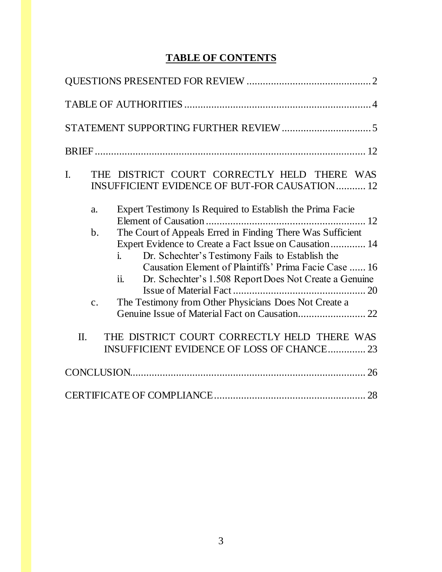# **TABLE OF CONTENTS**

| $\mathbf{I}$ . |                | THE DISTRICT COURT CORRECTLY HELD THERE WAS<br><b>INSUFFICIENT EVIDENCE OF BUT-FOR CAUSATION 12</b>                                                                                                                                                                                                     |
|----------------|----------------|---------------------------------------------------------------------------------------------------------------------------------------------------------------------------------------------------------------------------------------------------------------------------------------------------------|
|                | a.             | Expert Testimony Is Required to Establish the Prima Facie                                                                                                                                                                                                                                               |
|                | $\mathbf{b}$ . | The Court of Appeals Erred in Finding There Was Sufficient<br>Expert Evidence to Create a Fact Issue on Causation 14<br>Dr. Schechter's Testimony Fails to Establish the<br>i<br>Causation Element of Plaintiffs' Prima Facie Case  16<br>ii.<br>Dr. Schechter's 1.508 Report Does Not Create a Genuine |
|                | $\mathbf{C}$ . | The Testimony from Other Physicians Does Not Create a                                                                                                                                                                                                                                                   |
| $\Pi$ .        |                | THE DISTRICT COURT CORRECTLY HELD THERE WAS<br>INSUFFICIENT EVIDENCE OF LOSS OF CHANCE 23                                                                                                                                                                                                               |
|                |                |                                                                                                                                                                                                                                                                                                         |
|                |                |                                                                                                                                                                                                                                                                                                         |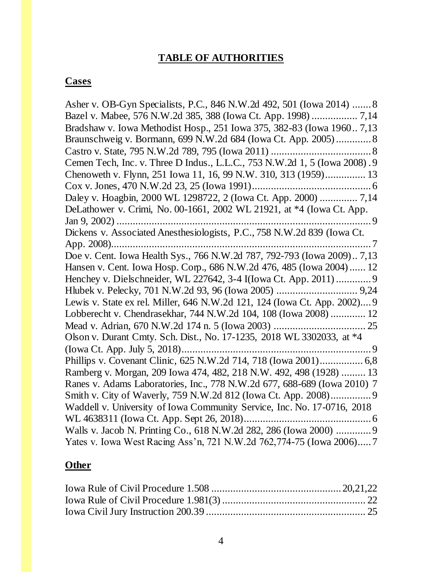### **TABLE OF AUTHORITIES**

#### **Cases**

Asher v. OB-Gyn Specialists, P.C., 846 N.W.2d 492, 501 (Iowa 2014) .......8 Bazel v. Mabee, 576 N.W.2d 385, 388 (Iowa Ct. App. 1998) ................. 7,14 Bradshaw v. Iowa Methodist Hosp., 251 Iowa 375, 382-83 (Iowa 1960.. 7,13 Braunschweig v. Bormann, 699 N.W.2d 684 (Iowa Ct. App. 2005).............8 Castro v. State, 795 N.W.2d 789, 795 (Iowa 2011) .....................................8 Cemen Tech, Inc. v. Three D Indus., L.L.C., 753 N.W.2d 1, 5 (Iowa 2008) .9 Chenoweth v. Flynn, 251 Iowa 11, 16, 99 N.W. 310, 313 (1959)............... 13 Cox v. Jones, 470 N.W.2d 23, 25 (Iowa 1991)............................................6 Daley v. Hoagbin, 2000 WL 1298722, 2 (Iowa Ct. App. 2000) .............. 7,14 DeLathower v. Crimi, No. 00-1661, 2002 WL 21921, at \*4 (Iowa Ct. App. Jan 9, 2002) .............................................................................................. 9 Dickens v. Associated Anesthesiologists, P.C., 758 N.W.2d 839 (Iowa Ct. App. 2008)................................................................................................ 7 Doe v. Cent. Iowa Health Sys., 766 N.W.2d 787, 792-793 (Iowa 2009).. 7,13 Hansen v. Cent. Iowa Hosp. Corp., 686 N.W.2d 476, 485 (Iowa 2004)...... 12 Henchey v. Dielschneider, WL 227642, 3-4 I(Iowa Ct. App. 2011).............9 Hlubek v. Pelecky, 701 N.W.2d 93, 96 (Iowa 2005) .............................. 9,24 Lewis v. State ex rel. Miller, 646 N.W.2d 121, 124 (Iowa Ct. App. 2002)....9 Lobberecht v. Chendrasekhar, 744 N.W.2d 104, 108 (Iowa 2008) ............. 12 Mead v. Adrian, 670 N.W.2d 174 n. 5 (Iowa 2003) .................................. 25 Olson v. Durant Cmty. Sch. Dist., No. 17-1235, 2018 WL 3302033, at \*4 (Iowa Ct. App. July 5, 2018)......................................................................9 Phillips v. Covenant Clinic, 625 N.W.2d 714, 718 (Iowa 2001)................ 6,8 Ramberg v. Morgan, 209 Iowa 474, 482, 218 N.W. 492, 498 (1928) ......... 13 Ranes v. Adams Laboratories, Inc., 778 N.W.2d 677, 688-689 (Iowa 2010) 7 Smith v. City of Waverly, 759 N.W.2d 812 (Iowa Ct. App. 2008)...............9 Waddell v. University of Iowa Community Service, Inc. No. 17-0716, 2018 WL 4638311 (Iowa Ct. App. Sept 26, 2018)...............................................6 Walls v. Jacob N. Printing Co., 618 N.W.2d 282, 286 (Iowa 2000) .............9 Yates v. Iowa West Racing Ass'n, 721 N.W.2d 762,774-75 (Iowa 2006).....7

#### **Other**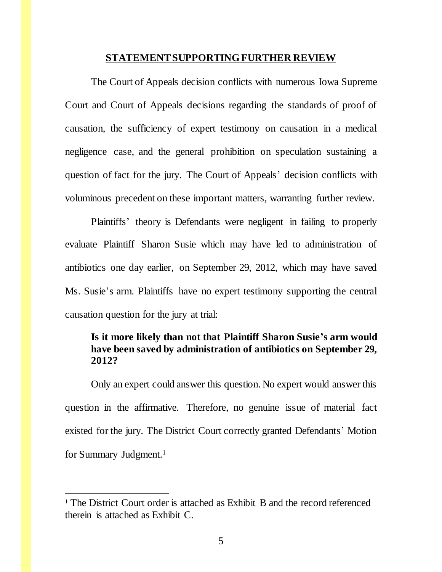#### **STATEMENT SUPPORTINGFURTHER REVIEW**

The Court of Appeals decision conflicts with numerous Iowa Supreme Court and Court of Appeals decisions regarding the standards of proof of causation, the sufficiency of expert testimony on causation in a medical negligence case, and the general prohibition on speculation sustaining a question of fact for the jury. The Court of Appeals' decision conflicts with voluminous precedent on these important matters, warranting further review.

Plaintiffs' theory is Defendants were negligent in failing to properly evaluate Plaintiff Sharon Susie which may have led to administration of antibiotics one day earlier, on September 29, 2012, which may have saved Ms. Susie's arm. Plaintiffs have no expert testimony supporting the central causation question for the jury at trial:

### **Is it more likely than not that Plaintiff Sharon Susie's arm would have been saved by administration of antibiotics on September 29, 2012?**

Only an expert could answer this question. No expert would answer this question in the affirmative. Therefore, no genuine issue of material fact existed for the jury. The District Court correctly granted Defendants' Motion for Summary Judgment. 1

l

<sup>&</sup>lt;sup>1</sup> The District Court order is attached as Exhibit B and the record referenced therein is attached as Exhibit C.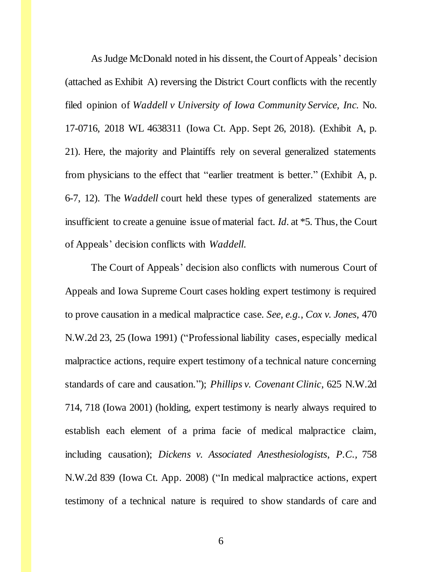As Judge McDonald noted in his dissent, the Court of Appeals' decision (attached as Exhibit A) reversing the District Court conflicts with the recently filed opinion of *Waddell v University of Iowa Community Service, Inc.* No. 17-0716, 2018 WL 4638311 (Iowa Ct. App. Sept 26, 2018). (Exhibit A, p. 21). Here, the majority and Plaintiffs rely on several generalized statements from physicians to the effect that "earlier treatment is better." (Exhibit A, p. 6-7, 12). The *Waddell* court held these types of generalized statements are insufficient to create a genuine issue of material fact. *Id.* at \*5. Thus, the Court of Appeals' decision conflicts with *Waddell.* 

The Court of Appeals' decision also conflicts with numerous Court of Appeals and Iowa Supreme Court cases holding expert testimony is required to prove causation in a medical malpractice case. *See, e.g.*, *Cox v. Jones*, 470 N.W.2d 23, 25 (Iowa 1991) ("Professional liability cases, especially medical malpractice actions, require expert testimony of a technical nature concerning standards of care and causation."); *Phillips v. Covenant Clinic*, 625 N.W.2d 714, 718 (Iowa 2001) (holding, expert testimony is nearly always required to establish each element of a prima facie of medical malpractice claim, including causation); *Dickens v. Associated Anesthesiologists*, *P.C.,* 758 N.W.2d 839 (Iowa Ct. App. 2008) ("In medical malpractice actions, expert testimony of a technical nature is required to show standards of care and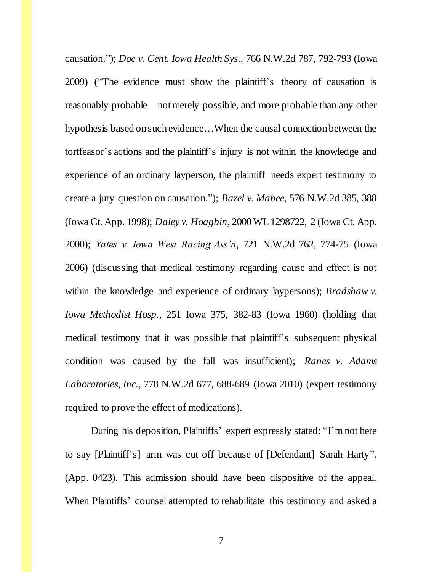causation."); *Doe v. Cent. Iowa Health Sys*., 766 N.W.2d 787, 792-793 (Iowa 2009) ("The evidence must show the plaintiff's theory of causation is reasonably probable—not merely possible, and more probable than any other hypothesis based on such evidence…When the causal connection between the tortfeasor's actions and the plaintiff's injury is not within the knowledge and experience of an ordinary layperson, the plaintiff needs expert testimony to create a jury question on causation."); *Bazel v. Mabee,* 576 N.W.2d 385, 388 (Iowa Ct. App. 1998); *Daley v. Hoagbin,* 2000 WL 1298722, 2 (Iowa Ct. App. 2000); *Yates v. Iowa West Racing Ass'n*, 721 N.W.2d 762, 774-75 (Iowa 2006) (discussing that medical testimony regarding cause and effect is not within the knowledge and experience of ordinary laypersons); *Bradshaw v. Iowa Methodist Hosp.,* 251 Iowa 375, 382-83 (Iowa 1960) (holding that medical testimony that it was possible that plaintiff's subsequent physical condition was caused by the fall was insufficient); *Ranes v. Adams Laboratories, Inc.,* 778 N.W.2d 677, 688-689 (Iowa 2010) (expert testimony required to prove the effect of medications).

During his deposition, Plaintiffs' expert expressly stated: "I'm not here to say [Plaintiff's] arm was cut off because of [Defendant] Sarah Harty". (App. 0423). This admission should have been dispositive of the appeal. When Plaintiffs' counsel attempted to rehabilitate this testimony and asked a

7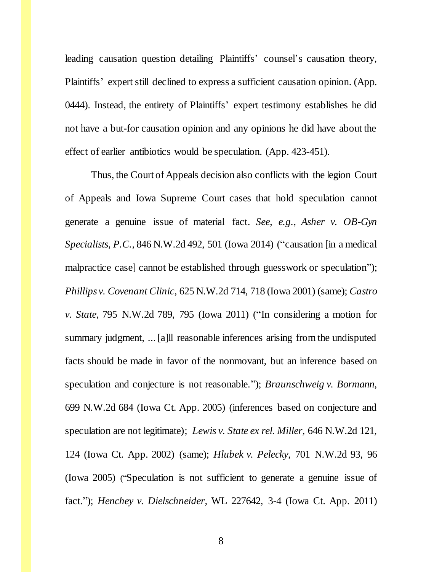leading causation question detailing Plaintiffs' counsel's causation theory, Plaintiffs' expert still declined to express a sufficient causation opinion. (App. 0444). Instead, the entirety of Plaintiffs' expert testimony establishes he did not have a but-for causation opinion and any opinions he did have about the effect of earlier antibiotics would be speculation. (App. 423-451).

Thus, the Court of Appeals decision also conflicts with the legion Court of Appeals and Iowa Supreme Court cases that hold speculation cannot generate a genuine issue of material fact. *See, e.g., Asher v. OB-Gyn Specialists, P.C.,* 846 N.W.2d 492, 501 (Iowa 2014) ("causation [in a medical malpractice case] cannot be established through guesswork or speculation"); *Phillips v. Covenant Clinic*, 625 N.W.2d 714, 718 (Iowa 2001) (same); *Castro v. State*, 795 N.W.2d 789, 795 (Iowa 2011) ("In considering a motion for summary judgment, ... [a]ll reasonable inferences arising from the undisputed facts should be made in favor of the nonmovant, but an inference based on speculation and conjecture is not reasonable."); *Braunschweig v. Bormann*, 699 N.W.2d 684 (Iowa Ct. App. 2005) (inferences based on conjecture and speculation are not legitimate); *Lewis v. State ex rel. Miller*, 646 N.W.2d 121, 124 (Iowa Ct. App. 2002) (same); *Hlubek v. Pelecky,* 701 N.W.2d 93, 96 (Iowa 2005) ("Speculation is not sufficient to generate a genuine issue of fact."); *Henchey v. Dielschneider,* WL 227642, 3-4 (Iowa Ct. App. 2011)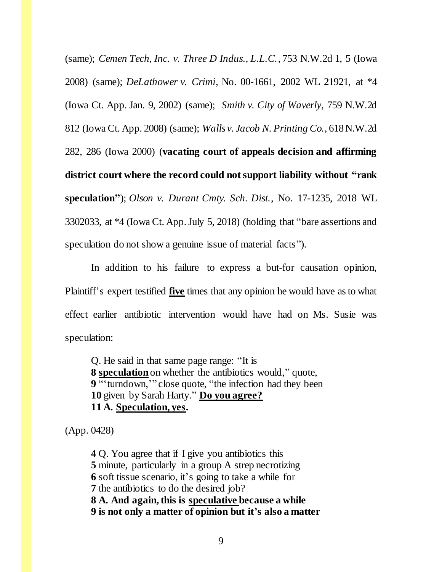(same); *Cemen Tech, Inc. v. Three D Indus., L.L.C.*, 753 N.W.2d 1, 5 (Iowa 2008) (same); *DeLathower v. Crimi*, No. 00-1661, 2002 WL 21921, at \*4 (Iowa Ct. App. Jan. 9, 2002) (same); *Smith v. City of Waverly*, 759 N.W.2d 812 (Iowa Ct. App. 2008) (same); *Walls v. Jacob N. Printing Co.*, 618 N.W.2d 282, 286 (Iowa 2000) (**vacating court of appeals decision and affirming district court where the record could not support liability without "rank speculation"**); *Olson v. Durant Cmty. Sch. Dist.*, No. 17-1235, 2018 WL 3302033, at \*4 (Iowa Ct. App. July 5, 2018) (holding that "bare assertions and speculation do not show a genuine issue of material facts").

In addition to his failure to express a but-for causation opinion, Plaintiff's expert testified **five** times that any opinion he would have as to what effect earlier antibiotic intervention would have had on Ms. Susie was speculation:

Q. He said in that same page range: "It is **8 speculation**on whether the antibiotics would," quote, **9** "'turndown,'" close quote, "the infection had they been **10** given by Sarah Harty." **Do you agree? 11 A. Speculation, yes.**

(App. 0428)

Q. You agree that if I give you antibiotics this minute, particularly in a group A strep necrotizing soft tissue scenario, it's going to take a while for the antibiotics to do the desired job? **8 A. And again, this is speculative because a while 9 is not only a matter of opinion but it's also a matter**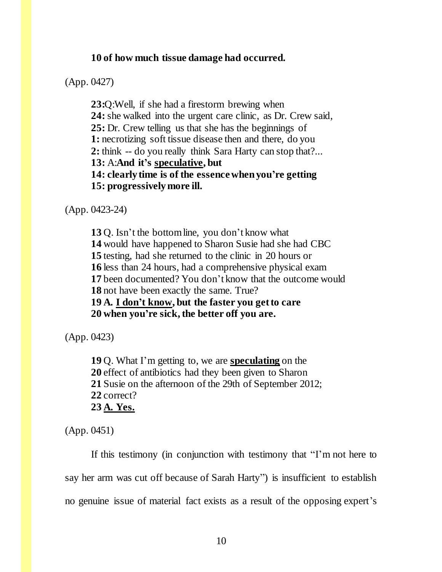#### **10 of how much tissue damage had occurred.**

(App. 0427)

**23:**Q:Well, if she had a firestorm brewing when **24:** she walked into the urgent care clinic, as Dr. Crew said, **25:** Dr. Crew telling us that she has the beginnings of 1: necrotizing soft tissue disease then and there, do you **2:** think -- do you really think Sara Harty can stop that?... **13:** A:**And it's speculative, but 14: clearly time is of the essence when you're getting 15: progressively more ill.**

(App. 0423-24)

Q. Isn't the bottom line, you don't know what would have happened to Sharon Susie had she had CBC testing, had she returned to the clinic in 20 hours or less than 24 hours, had a comprehensive physical exam been documented? You don't know that the outcome would not have been exactly the same. True? **19 A. I don't know, but the faster you get to care 20 when you're sick, the better off you are.**

(App. 0423)

**19** Q. What I'm getting to, we are **speculating** on the **20** effect of antibiotics had they been given to Sharon **21** Susie on the afternoon of the 29th of September 2012; **22** correct? **23 A. Yes.**

(App. 0451)

If this testimony (in conjunction with testimony that "I'm not here to say her arm was cut off because of Sarah Harty") is insufficient to establish no genuine issue of material fact exists as a result of the opposing expert's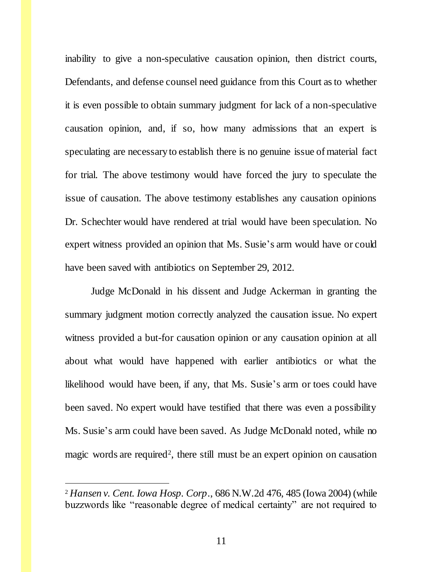inability to give a non-speculative causation opinion, then district courts, Defendants, and defense counsel need guidance from this Court as to whether it is even possible to obtain summary judgment for lack of a non-speculative causation opinion, and, if so, how many admissions that an expert is speculating are necessary to establish there is no genuine issue of material fact for trial. The above testimony would have forced the jury to speculate the issue of causation. The above testimony establishes any causation opinions Dr. Schechter would have rendered at trial would have been speculation. No expert witness provided an opinion that Ms. Susie's arm would have or could have been saved with antibiotics on September 29, 2012.

Judge McDonald in his dissent and Judge Ackerman in granting the summary judgment motion correctly analyzed the causation issue. No expert witness provided a but-for causation opinion or any causation opinion at all about what would have happened with earlier antibiotics or what the likelihood would have been, if any, that Ms. Susie's arm or toes could have been saved. No expert would have testified that there was even a possibility Ms. Susie's arm could have been saved. As Judge McDonald noted, while no magic words are required<sup>2</sup>, there still must be an expert opinion on causation

j

<sup>2</sup> *Hansen v. Cent. Iowa Hosp. Corp*., 686 N.W.2d 476, 485 (Iowa 2004) (while buzzwords like "reasonable degree of medical certainty" are not required to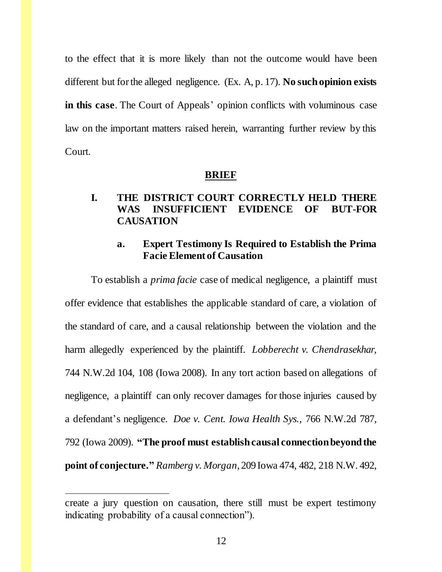to the effect that it is more likely than not the outcome would have been different but for the alleged negligence. (Ex. A, p. 17). **No such opinion exists in this case**. The Court of Appeals' opinion conflicts with voluminous case law on the important matters raised herein, warranting further review by this Court.

#### **BRIEF**

## **I. THE DISTRICT COURT CORRECTLY HELD THERE WAS INSUFFICIENT EVIDENCE OF BUT-FOR CAUSATION**

### **a. Expert Testimony Is Required to Establish the Prima Facie Element of Causation**

To establish a *prima facie* case of medical negligence, a plaintiff must offer evidence that establishes the applicable standard of care, a violation of the standard of care, and a causal relationship between the violation and the harm allegedly experienced by the plaintiff. *Lobberecht v. Chendrasekhar,* 744 N.W.2d 104, 108 (Iowa 2008). In any tort action based on allegations of negligence, a plaintiff can only recover damages for those injuries caused by a defendant's negligence. *Doe v. Cent. Iowa Health Sys.,* 766 N.W.2d 787, 792 (Iowa 2009). **"The proof must establish causal connection beyond the point of conjecture."** *Ramberg v. Morgan,* 209 Iowa 474, 482, 218 N.W. 492,

l

create a jury question on causation, there still must be expert testimony indicating probability of a causal connection").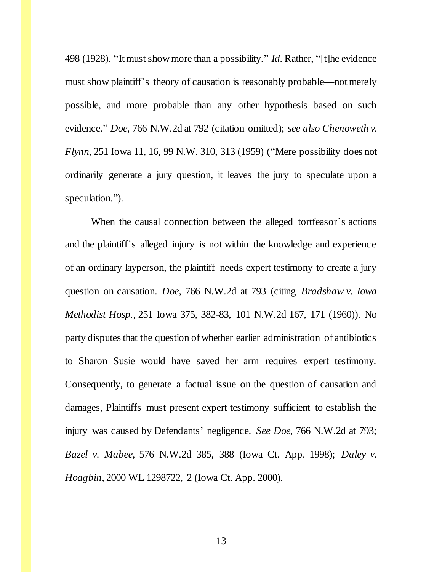498 (1928). "It must show more than a possibility." *Id.* Rather, "[t]he evidence must show plaintiff's theory of causation is reasonably probable—not merely possible, and more probable than any other hypothesis based on such evidence." *Doe,* 766 N.W.2d at 792 (citation omitted); *see also Chenoweth v. Flynn,* 251 Iowa 11, 16, 99 N.W. 310, 313 (1959) ("Mere possibility does not ordinarily generate a jury question, it leaves the jury to speculate upon a speculation.").

When the causal connection between the alleged tortfeasor's actions and the plaintiff's alleged injury is not within the knowledge and experience of an ordinary layperson, the plaintiff needs expert testimony to create a jury question on causation. *Doe*, 766 N.W.2d at 793 (citing *Bradshaw v. Iowa Methodist Hosp.,* 251 Iowa 375, 382-83, 101 N.W.2d 167, 171 (1960)). No party disputes that the question of whether earlier administration of antibiotics to Sharon Susie would have saved her arm requires expert testimony. Consequently, to generate a factual issue on the question of causation and damages, Plaintiffs must present expert testimony sufficient to establish the injury was caused by Defendants' negligence. *See Doe,* 766 N.W.2d at 793; *Bazel v. Mabee,* 576 N.W.2d 385, 388 (Iowa Ct. App. 1998); *Daley v. Hoagbin,* 2000 WL 1298722, 2 (Iowa Ct. App. 2000).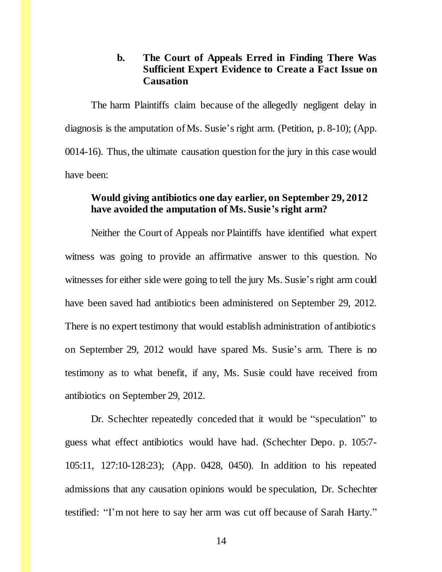### **b. The Court of Appeals Erred in Finding There Was Sufficient Expert Evidence to Create a Fact Issue on Causation**

The harm Plaintiffs claim because of the allegedly negligent delay in diagnosis is the amputation of Ms. Susie's right arm. (Petition, p. 8-10); (App. 0014-16). Thus, the ultimate causation question for the jury in this case would have been:

### **Would giving antibiotics one day earlier, on September 29, 2012 have avoided the amputation of Ms. Susie's right arm?**

Neither the Court of Appeals nor Plaintiffs have identified what expert witness was going to provide an affirmative answer to this question. No witnesses for either side were going to tell the jury Ms. Susie's right arm could have been saved had antibiotics been administered on September 29, 2012. There is no expert testimony that would establish administration of antibiotics on September 29, 2012 would have spared Ms. Susie's arm. There is no testimony as to what benefit, if any, Ms. Susie could have received from antibiotics on September 29, 2012.

Dr. Schechter repeatedly conceded that it would be "speculation" to guess what effect antibiotics would have had. (Schechter Depo. p. 105:7- 105:11, 127:10-128:23); (App. 0428, 0450). In addition to his repeated admissions that any causation opinions would be speculation, Dr. Schechter testified: "I'm not here to say her arm was cut off because of Sarah Harty."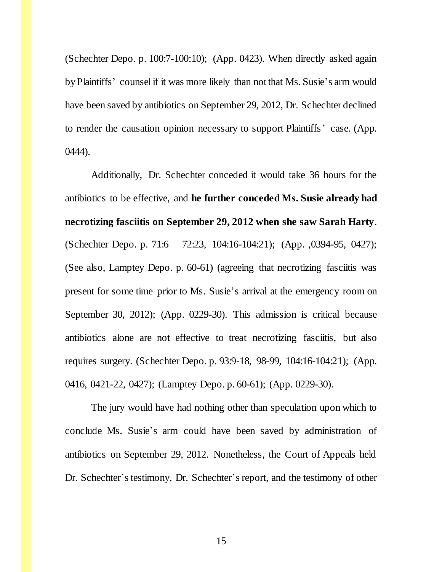(Schechter Depo. p. 100:7-100:10); (App. 0423). When directly asked again by Plaintiffs' counsel if it was more likely than not that Ms. Susie's arm would have been saved by antibiotics on September 29, 2012, Dr. Schechter declined to render the causation opinion necessary to support Plaintiffs' case. (App. 0444).

Additionally, Dr. Schechter conceded it would take 36 hours for the antibiotics to be effective, and **he further conceded Ms. Susie already had necrotizing fasciitis on September 29, 2012 when she saw Sarah Harty**. (Schechter Depo. p. 71:6 – 72:23, 104:16-104:21); (App. ,0394-95, 0427); (See also, Lamptey Depo. p. 60-61) (agreeing that necrotizing fasciitis was present for some time prior to Ms. Susie's arrival at the emergency room on September 30, 2012); (App. 0229-30). This admission is critical because antibiotics alone are not effective to treat necrotizing fasciitis, but also requires surgery. (Schechter Depo. p. 93:9-18, 98-99, 104:16-104:21); (App. 0416, 0421-22, 0427); (Lamptey Depo. p. 60-61); (App. 0229-30).

The jury would have had nothing other than speculation upon which to conclude Ms. Susie's arm could have been saved by administration of antibiotics on September 29, 2012. Nonetheless, the Court of Appeals held Dr. Schechter's testimony, Dr. Schechter's report, and the testimony of other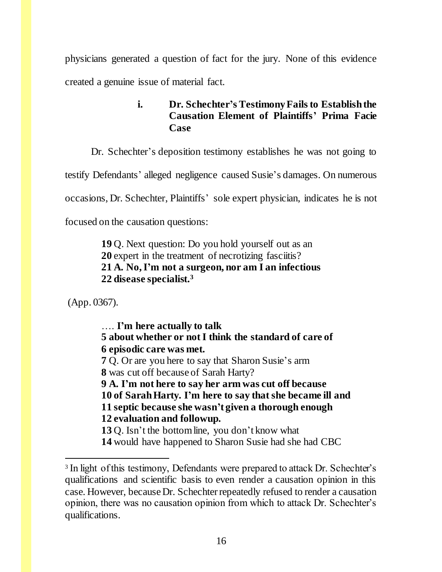physicians generated a question of fact for the jury. None of this evidence created a genuine issue of material fact.

# **i. Dr. Schechter's Testimony Fails to Establish the Causation Element of Plaintiffs' Prima Facie Case**

Dr. Schechter's deposition testimony establishes he was not going to

testify Defendants' alleged negligence caused Susie's damages. On numerous

occasions, Dr. Schechter, Plaintiffs' sole expert physician, indicates he is not

focused on the causation questions:

**19** Q. Next question: Do you hold yourself out as an **20** expert in the treatment of necrotizing fasciitis? **21 A. No, I'm not a surgeon, nor am I an infectious 22 disease specialist.<sup>3</sup>**

(App. 0367).

l

…. **I'm here actually to talk 5 about whether or not I think the standard of care of 6 episodic care was met. 7** Q. Or are you here to say that Sharon Susie's arm **8** was cut off because of Sarah Harty? **9 A. I'm not here to say her arm was cut off because 10 of SarahHarty. I'm here to say that she became ill and 11 septic because she wasn't given a thorough enough 12 evaluation and followup. 13** Q. Isn't the bottom line, you don't know what

**14** would have happened to Sharon Susie had she had CBC

<sup>&</sup>lt;sup>3</sup> In light of this testimony, Defendants were prepared to attack Dr. Schechter's qualifications and scientific basis to even render a causation opinion in this case. However, because Dr. Schechter repeatedly refused to render a causation opinion, there was no causation opinion from which to attack Dr. Schechter's qualifications.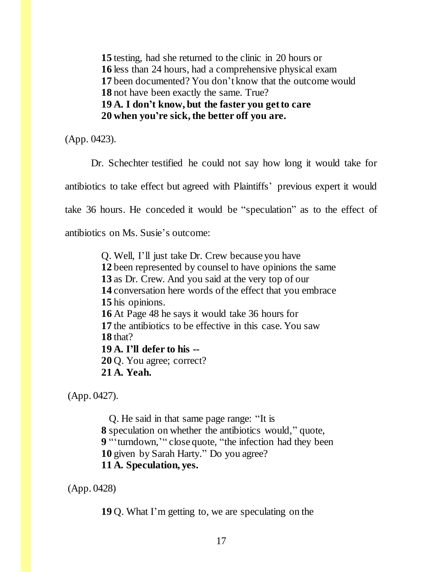testing, had she returned to the clinic in 20 hours or less than 24 hours, had a comprehensive physical exam been documented? You don't know that the outcome would not have been exactly the same. True? **19 A. I don't know, but the faster you get to care 20 when you're sick, the better off you are.**

(App. 0423).

Dr. Schechter testified he could not say how long it would take for antibiotics to take effect but agreed with Plaintiffs' previous expert it would take 36 hours. He conceded it would be "speculation" as to the effect of antibiotics on Ms. Susie's outcome:

> Q. Well, I'll just take Dr. Crew because you have been represented by counsel to have opinions the same as Dr. Crew. And you said at the very top of our conversation here words of the effect that you embrace his opinions. At Page 48 he says it would take 36 hours for the antibiotics to be effective in this case. You saw **18** that? **19 A. I'll defer to his --** Q. You agree; correct? **21 A. Yeah.**

(App. 0427).

Q. He said in that same page range: "It is **8** speculation on whether the antibiotics would," quote, **9** "'turndown,'" close quote, "the infection had they been **10** given by Sarah Harty." Do you agree? **11 A. Speculation, yes.**

(App. 0428)

**19** Q. What I'm getting to, we are speculating on the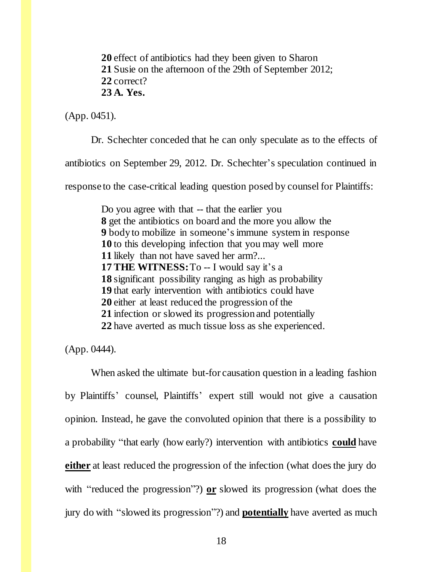**20** effect of antibiotics had they been given to Sharon **21** Susie on the afternoon of the 29th of September 2012; **22** correct? **23 A. Yes.**

(App. 0451).

Dr. Schechter conceded that he can only speculate as to the effects of

antibiotics on September 29, 2012. Dr. Schechter's speculation continued in

response to the case-critical leading question posed by counsel for Plaintiffs:

Do you agree with that -- that the earlier you get the antibiotics on board and the more you allow the body to mobilize in someone's immune system in response to this developing infection that you may well more likely than not have saved her arm?... **17 THE WITNESS:** To -- I would say it's a significant possibility ranging as high as probability that early intervention with antibiotics could have either at least reduced the progression of the infection or slowed its progression and potentially have averted as much tissue loss as she experienced.

(App. 0444).

When asked the ultimate but-for causation question in a leading fashion by Plaintiffs' counsel, Plaintiffs' expert still would not give a causation opinion. Instead, he gave the convoluted opinion that there is a possibility to a probability "that early (how early?) intervention with antibiotics **could** have **either** at least reduced the progression of the infection (what does the jury do with "reduced the progression"?) **or** slowed its progression (what does the jury do with "slowed its progression"?) and **potentially** have averted as much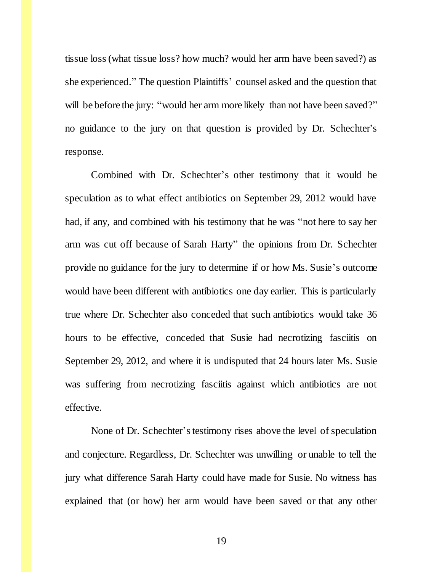tissue loss (what tissue loss? how much? would her arm have been saved?) as she experienced." The question Plaintiffs' counsel asked and the question that will be before the jury: "would her arm more likely than not have been saved?" no guidance to the jury on that question is provided by Dr. Schechter's response.

Combined with Dr. Schechter's other testimony that it would be speculation as to what effect antibiotics on September 29, 2012 would have had, if any, and combined with his testimony that he was "not here to say her arm was cut off because of Sarah Harty" the opinions from Dr. Schechter provide no guidance for the jury to determine if or how Ms. Susie's outcome would have been different with antibiotics one day earlier. This is particularly true where Dr. Schechter also conceded that such antibiotics would take 36 hours to be effective, conceded that Susie had necrotizing fasciitis on September 29, 2012, and where it is undisputed that 24 hours later Ms. Susie was suffering from necrotizing fasciitis against which antibiotics are not effective.

None of Dr. Schechter's testimony rises above the level of speculation and conjecture. Regardless, Dr. Schechter was unwilling or unable to tell the jury what difference Sarah Harty could have made for Susie. No witness has explained that (or how) her arm would have been saved or that any other

19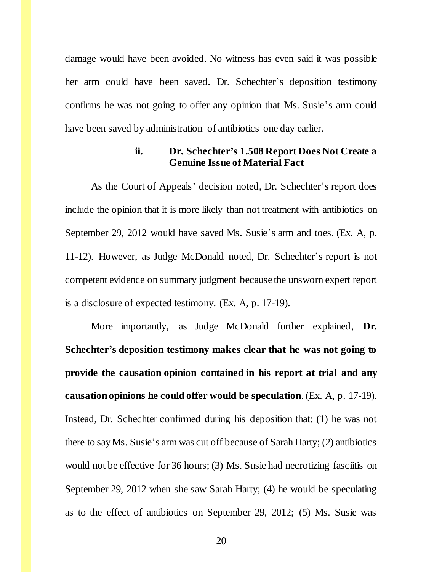damage would have been avoided. No witness has even said it was possible her arm could have been saved. Dr. Schechter's deposition testimony confirms he was not going to offer any opinion that Ms. Susie's arm could have been saved by administration of antibiotics one day earlier.

### **ii. Dr. Schechter's 1.508 Report Does Not Create a Genuine Issue of Material Fact**

As the Court of Appeals' decision noted, Dr. Schechter's report does include the opinion that it is more likely than not treatment with antibiotics on September 29, 2012 would have saved Ms. Susie's arm and toes. (Ex. A, p. 11-12). However, as Judge McDonald noted, Dr. Schechter's report is not competent evidence on summary judgment because the unsworn expert report is a disclosure of expected testimony. (Ex. A, p. 17-19).

More importantly, as Judge McDonald further explained, **Dr. Schechter's deposition testimony makes clear that he was not going to provide the causation opinion contained in his report at trial and any causation opinions he could offer would be speculation**. (Ex. A, p. 17-19). Instead, Dr. Schechter confirmed during his deposition that: (1) he was not there to say Ms. Susie's arm was cut off because of Sarah Harty; (2) antibiotics would not be effective for 36 hours; (3) Ms. Susie had necrotizing fasciitis on September 29, 2012 when she saw Sarah Harty; (4) he would be speculating as to the effect of antibiotics on September 29, 2012; (5) Ms. Susie was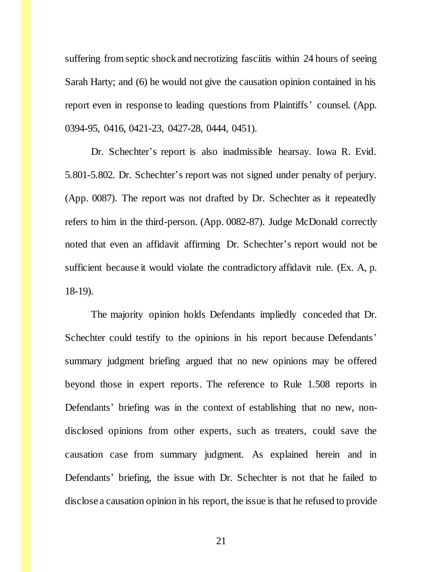suffering from septic shock and necrotizing fasciitis within 24 hours of seeing Sarah Harty; and (6) he would not give the causation opinion contained in his report even in response to leading questions from Plaintiffs' counsel. (App. 0394-95, 0416, 0421-23, 0427-28, 0444, 0451).

Dr. Schechter's report is also inadmissible hearsay. Iowa R. Evid. 5.801-5.802. Dr. Schechter's report was not signed under penalty of perjury. (App. 0087). The report was not drafted by Dr. Schechter as it repeatedly refers to him in the third-person. (App. 0082-87). Judge McDonald correctly noted that even an affidavit affirming Dr. Schechter's report would not be sufficient because it would violate the contradictory affidavit rule. (Ex. A, p. 18-19).

The majority opinion holds Defendants impliedly conceded that Dr. Schechter could testify to the opinions in his report because Defendants' summary judgment briefing argued that no new opinions may be offered beyond those in expert reports. The reference to Rule 1.508 reports in Defendants' briefing was in the context of establishing that no new, nondisclosed opinions from other experts, such as treaters, could save the causation case from summary judgment. As explained herein and in Defendants' briefing, the issue with Dr. Schechter is not that he failed to disclose a causation opinion in his report, the issue is that he refused to provide

21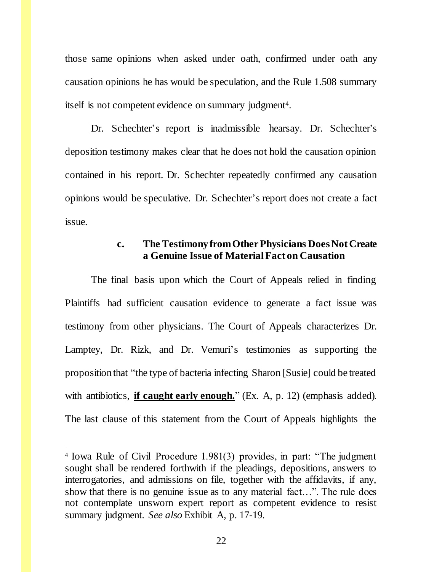those same opinions when asked under oath, confirmed under oath any causation opinions he has would be speculation, and the Rule 1.508 summary itself is not competent evidence on summary judgment<sup>4</sup>.

Dr. Schechter's report is inadmissible hearsay. Dr. Schechter's deposition testimony makes clear that he does not hold the causation opinion contained in his report. Dr. Schechter repeatedly confirmed any causation opinions would be speculative. Dr. Schechter's report does not create a fact issue.

### **c. The Testimony from Other Physicians Does Not Create a Genuine Issue of Material Fact on Causation**

The final basis upon which the Court of Appeals relied in finding Plaintiffs had sufficient causation evidence to generate a fact issue was testimony from other physicians. The Court of Appeals characterizes Dr. Lamptey, Dr. Rizk, and Dr. Vemuri's testimonies as supporting the proposition that "the type of bacteria infecting Sharon [Susie] could be treated with antibiotics, **if caught early enough.**" (Ex. A, p. 12) (emphasis added). The last clause of this statement from the Court of Appeals highlights the

l

<sup>4</sup> Iowa Rule of Civil Procedure 1.981(3) provides, in part: "The judgment sought shall be rendered forthwith if the pleadings, depositions, answers to interrogatories, and admissions on file, together with the affidavits, if any, show that there is no genuine issue as to any material fact…". The rule does not contemplate unsworn expert report as competent evidence to resist summary judgment. *See also* Exhibit A, p. 17-19.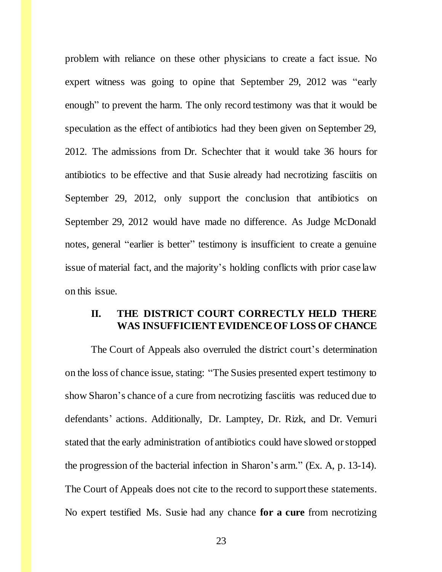problem with reliance on these other physicians to create a fact issue. No expert witness was going to opine that September 29, 2012 was "early enough" to prevent the harm. The only record testimony was that it would be speculation as the effect of antibiotics had they been given on September 29, 2012. The admissions from Dr. Schechter that it would take 36 hours for antibiotics to be effective and that Susie already had necrotizing fasciitis on September 29, 2012, only support the conclusion that antibiotics on September 29, 2012 would have made no difference. As Judge McDonald notes, general "earlier is better" testimony is insufficient to create a genuine issue of material fact, and the majority's holding conflicts with prior case law on this issue.

### **II. THE DISTRICT COURT CORRECTLY HELD THERE WAS INSUFFICIENT EVIDENCE OF LOSS OF CHANCE**

The Court of Appeals also overruled the district court's determination on the loss of chance issue, stating: "The Susies presented expert testimony to show Sharon's chance of a cure from necrotizing fasciitis was reduced due to defendants' actions. Additionally, Dr. Lamptey, Dr. Rizk, and Dr. Vemuri stated that the early administration of antibiotics could have slowed or stopped the progression of the bacterial infection in Sharon's arm." (Ex. A, p. 13-14). The Court of Appeals does not cite to the record to support these statements. No expert testified Ms. Susie had any chance **for a cure** from necrotizing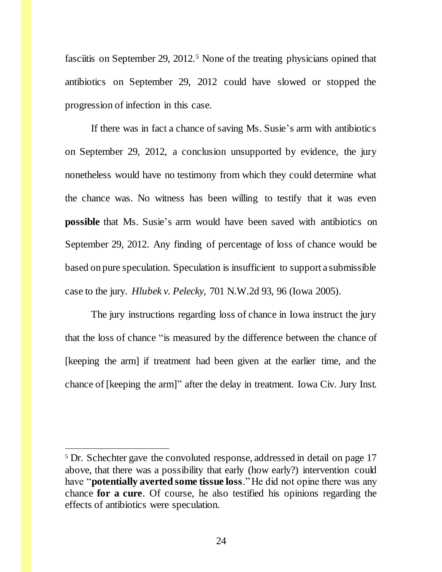fasciitis on September 29, 2012.<sup>5</sup> None of the treating physicians opined that antibiotics on September 29, 2012 could have slowed or stopped the progression of infection in this case.

If there was in fact a chance of saving Ms. Susie's arm with antibiotics on September 29, 2012, a conclusion unsupported by evidence, the jury nonetheless would have no testimony from which they could determine what the chance was. No witness has been willing to testify that it was even **possible** that Ms. Susie's arm would have been saved with antibiotics on September 29, 2012. Any finding of percentage of loss of chance would be based on pure speculation. Speculation is insufficient to support a submissible case to the jury. *Hlubek v. Pelecky,* 701 N.W.2d 93, 96 (Iowa 2005).

The jury instructions regarding loss of chance in Iowa instruct the jury that the loss of chance "is measured by the difference between the chance of [keeping the arm] if treatment had been given at the earlier time, and the chance of [keeping the arm]" after the delay in treatment. Iowa Civ. Jury Inst.

l

<sup>&</sup>lt;sup>5</sup> Dr. Schechter gave the convoluted response, addressed in detail on page 17 above, that there was a possibility that early (how early?) intervention could have "**potentially averted some tissue loss**." He did not opine there was any chance **for a cure**. Of course, he also testified his opinions regarding the effects of antibiotics were speculation.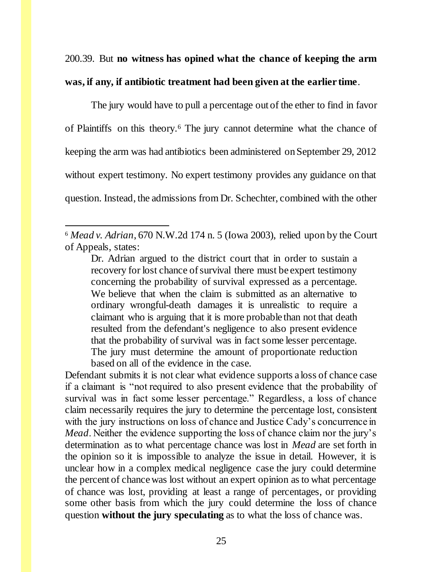200.39. But **no witness has opined what the chance of keeping the arm was, if any, if antibiotic treatment had been given at the earlier time**.

The jury would have to pull a percentage out of the ether to find in favor of Plaintiffs on this theory.<sup>6</sup> The jury cannot determine what the chance of keeping the arm was had antibiotics been administered on September 29, 2012 without expert testimony. No expert testimony provides any guidance on that question. Instead, the admissions from Dr. Schechter, combined with the other

 $\overline{a}$ <sup>6</sup> *Mead v. Adrian*, 670 N.W.2d 174 n. 5 (Iowa 2003), relied upon by the Court of Appeals, states:

Dr. Adrian argued to the district court that in order to sustain a recovery for lost chance of survival there must be expert testimony concerning the probability of survival expressed as a percentage. We believe that when the claim is submitted as an alternative to ordinary wrongful-death damages it is unrealistic to require a claimant who is arguing that it is more probable than not that death resulted from the defendant's negligence to also present evidence that the probability of survival was in fact some lesser percentage. The jury must determine the amount of proportionate reduction based on all of the evidence in the case.

Defendant submits it is not clear what evidence supports a loss of chance case if a claimant is "not required to also present evidence that the probability of survival was in fact some lesser percentage." Regardless, a loss of chance claim necessarily requires the jury to determine the percentage lost, consistent with the jury instructions on loss of chance and Justice Cady's concurrence in *Mead*. Neither the evidence supporting the loss of chance claim nor the jury's determination as to what percentage chance was lost in *Mead* are set forth in the opinion so it is impossible to analyze the issue in detail. However, it is unclear how in a complex medical negligence case the jury could determine the percent of chance was lost without an expert opinion as to what percentage of chance was lost, providing at least a range of percentages, or providing some other basis from which the jury could determine the loss of chance question **without the jury speculating** as to what the loss of chance was.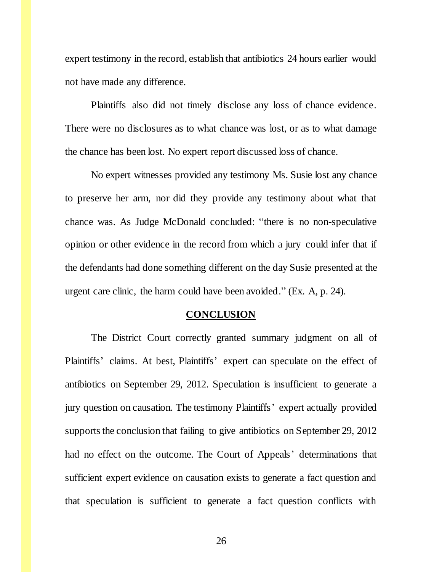expert testimony in the record, establish that antibiotics 24 hours earlier would not have made any difference.

Plaintiffs also did not timely disclose any loss of chance evidence. There were no disclosures as to what chance was lost, or as to what damage the chance has been lost. No expert report discussed loss of chance.

No expert witnesses provided any testimony Ms. Susie lost any chance to preserve her arm, nor did they provide any testimony about what that chance was. As Judge McDonald concluded: "there is no non-speculative opinion or other evidence in the record from which a jury could infer that if the defendants had done something different on the day Susie presented at the urgent care clinic, the harm could have been avoided." (Ex. A, p. 24).

#### **CONCLUSION**

The District Court correctly granted summary judgment on all of Plaintiffs' claims. At best, Plaintiffs' expert can speculate on the effect of antibiotics on September 29, 2012. Speculation is insufficient to generate a jury question on causation. The testimony Plaintiffs' expert actually provided supports the conclusion that failing to give antibiotics on September 29, 2012 had no effect on the outcome. The Court of Appeals' determinations that sufficient expert evidence on causation exists to generate a fact question and that speculation is sufficient to generate a fact question conflicts with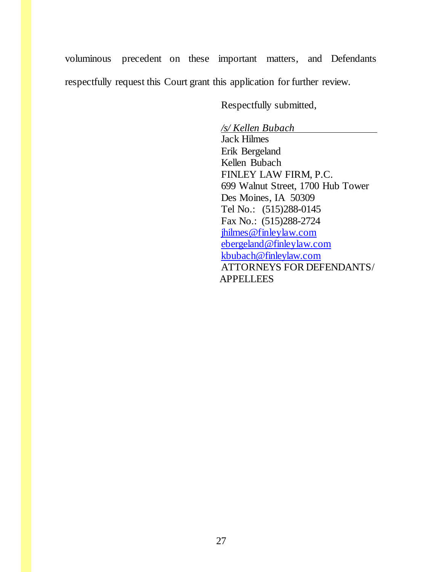voluminous precedent on these important matters, and Defendants respectfully request this Court grant this application for further review.

Respectfully submitted,

*/s/ Kellen Bubach* Jack Hilmes Erik Bergeland Kellen Bubach FINLEY LAW FIRM, P.C. 699 Walnut Street, 1700 Hub Tower Des Moines, IA 50309 Tel No.: (515)288-0145 Fax No.: (515)288-2724 [jhilmes@finleylaw.com](mailto:jhilmes@finleylaw.com) [ebergeland@finleylaw.com](mailto:ebergeland@finleylaw.com) [kbubach@finleylaw.com](mailto:kbubach@finleylaw.com) ATTORNEYS FOR DEFENDANTS/ APPELLEES